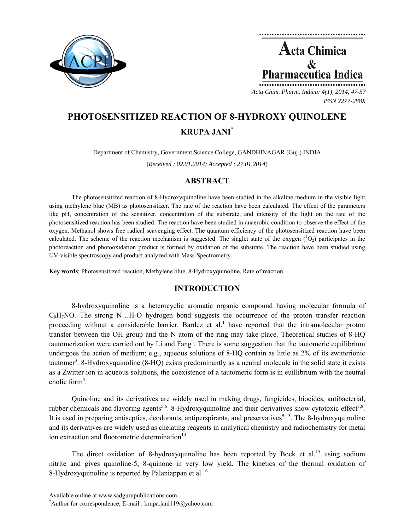



*ISSN 2277-288X*

# **PHOTOSENSITIZED REACTION OF 8-HYDROXY QUINOLENE KRUPA JANI\***

Department of Chemistry, Government Science College, GANDHINAGAR (Guj.) INDIA (*Received : 02.01.2014; Accepted : 27.01.2014*)

## **ABSTRACT**

The photosensitized reaction of 8-Hydroxyquinoline have been studied in the alkaline medium in the visible light using methylene blue (MB) as photosensitizer. The rate of the reaction have been calculated. The effect of the parameters like pH, concentration of the sensitizer, concentration of the substrate, and intensity of the light on the rate of the photosensitized reaction has been studied. The reaction have been studied in anaerobic condition to observe the effect of the oxygen. Methanol shows free radical scavenging effect. The quantum efficiency of the photosensitized reaction have been calculated. The scheme of the reaction mechanism is suggested. The singlet state of the oxygen  $(^1O_2)$  participates in the photoreaction and photooxidation product is formed by oxidation of the substrate. The reaction have been studied using UV-visible spectroscopy and product analyzed with Mass-Spectrometry.

**Key words**: Photosensitized reaction, Methylene blue, 8-Hydroxyquinoline, Rate of reaction.

# **INTRODUCTION**

8-hydroxyquinoline is a heterocyclic aromatic organic compound having molecular formula of  $C_9H_7NO$ . The strong N...H-O hydrogen bond suggests the occurrence of the proton transfer reaction proceeding without a considerable barrier. Bardez et al.<sup>1</sup> have reported that the intramolecular proton transfer between the OH group and the N atom of the ring may take place. Theoretical studies of 8-HQ tautomerization were carried out by Li and Fang<sup>2</sup>. There is some suggestion that the tautomeric equilibrium undergoes the action of medium; e.g., aqueous solutions of 8-HQ contain as little as 2% of its zwitterionic tautomer<sup>3</sup>. 8-Hydroxyquinoline (8-HQ) exists predominantly as a neutral molecule in the solid state it exists as a Zwitter ion in aqueous solutions, the coexistence of a tautomeric form is in euillibrium with the neutral enolic form<sup>4</sup>.

Quinoline and its derivatives are widely used in making drugs, fungicides, biocides, antibacterial, rubber chemicals and flavoring agents<sup>5,6</sup>. 8-Hydroxyquinoline and their derivatives show cytotoxic effect<sup>7,8</sup>. It is used in preparing antiseptics, deodorants, antiperspirants, and preservatives $9-13$ . The 8-hydroxyquinoline and its derivatives are widely used as chelating reagents in analytical chemistry and radiochemistry for metal ion extraction and fluorometric determination $14$ .

The direct oxidation of 8-hydroxyquinoline has been reported by Bock et al.<sup>15</sup> using sodium nitrite and gives quinoline-5, 8-quinone in very low yield. The kinetics of the thermal oxidation of 8-Hydroxyquinoline is reported by Palaniappan et al.<sup>16</sup>

 $\mathcal{L}=\{1,2,3,4,5\}$ 

Available online at www.sadgurupublications.com \*

Author for correspondence; E-mail : krupa.jani119@yahoo.com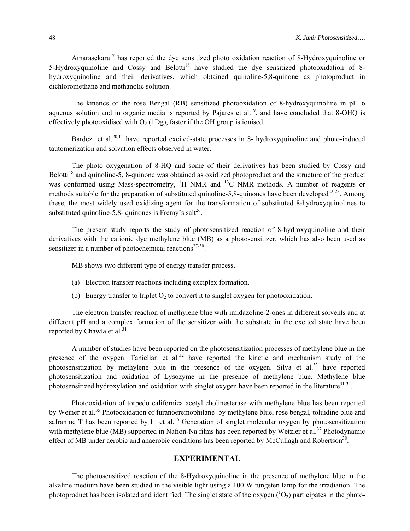Amarasekara<sup>17</sup> has reported the dye sensitized photo oxidation reaction of 8-Hydroxyquinoline or 5-Hydroxyquinoline and Cossy and Belotti<sup>18</sup> have studied the dye sensitized photooxidation of 8hydroxyquinoline and their derivatives, which obtained quinoline-5,8-quinone as photoproduct in dichloromethane and methanolic solution.

The kinetics of the rose Bengal (RB) sensitized photooxidation of 8-hydroxyquinoline in pH 6 aqueous solution and in organic media is reported by Pajares et al.<sup>19</sup>, and have concluded that 8-OHQ is effectively photooxidised with  $O_2(1Dg)$ , faster if the OH group is ionised.

Bardez et al.<sup>20,11</sup> have reported excited-state processes in 8- hydroxyquinoline and photo-induced tautomerization and solvation effects observed in water.

The photo oxygenation of 8-HQ and some of their derivatives has been studied by Cossy and Belotti<sup>18</sup> and quinoline-5, 8-quinone was obtained as oxidized photoproduct and the structure of the product was conformed using Mass-spectrometry,  ${}^{1}H$  NMR and  ${}^{13}C$  NMR methods. A number of reagents or methods suitable for the preparation of substituted quinoline-5,8-quinones have been developed<sup>22-25</sup>. Among these, the most widely used oxidizing agent for the transformation of substituted 8-hydroxyquinolines to substituted quinoline-5,8- quinones is Fremy's salt<sup>26</sup>.

The present study reports the study of photosensitized reaction of 8-hydroxyquinoline and their derivatives with the cationic dye methylene blue (MB) as a photosensitizer, which has also been used as sensitizer in a number of photochemical reactions<sup>27-30</sup>.

MB shows two different type of energy transfer process.

- (a) Electron transfer reactions including exciplex formation.
- (b) Energy transfer to triplet  $O_2$  to convert it to singlet oxygen for photooxidation.

The electron transfer reaction of methylene blue with imidazoline-2-ones in different solvents and at different pH and a complex formation of the sensitizer with the substrate in the excited state have been reported by Chawla et al. $31$ 

A number of studies have been reported on the photosensitization processes of methylene blue in the presence of the oxygen. Tanielian et  $aL^{32}$  have reported the kinetic and mechanism study of the photosensitization by methylene blue in the presence of the oxygen. Silva et al.<sup>33</sup> have reported photosensitization and oxidation of Lysozyme in the presence of methylene blue. Methylene blue photosensitized hydroxylation and oxidation with singlet oxygen have been reported in the literature<sup>31-34</sup>.

Photooxidation of torpedo californica acetyl cholinesterase with methylene blue has been reported by Weiner et al.<sup>35</sup> Photooxidation of furanoeremophilane by methylene blue, rose bengal, toluidine blue and safranine T has been reported by Li et al.<sup>36</sup> Generation of singlet molecular oxygen by photosensitization with methylene blue (MB) supported in Nafion-Na films has been reported by Wetzler et al.<sup>37</sup> Photodynamic effect of MB under aerobic and anaerobic conditions has been reported by McCullagh and Robertson<sup>38</sup>.

## **EXPERIMENTAL**

The photosensitized reaction of the 8-Hydroxyquinoline in the presence of methylene blue in the alkaline medium have been studied in the visible light using a 100 W tungsten lamp for the irradiation. The photoproduct has been isolated and identified. The singlet state of the oxygen  $(^1O_2)$  participates in the photo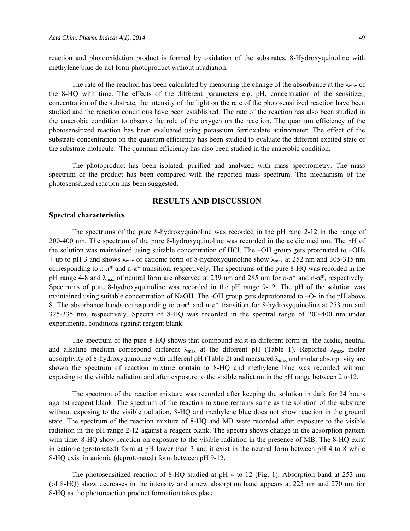reaction and photooxidation product is formed by oxidation of the substrates. 8-Hydroxyquinoline with methylene blue do not form photoproduct without irradiation.

The rate of the reaction has been calculated by measuring the change of the absorbance at the  $\lambda_{\text{max}}$  of the 8-HQ with time. The effects of the different parameters e.g. pH, concentration of the sensitizer, concentration of the substrate, the intensity of the light on the rate of the photosensitized reaction have been studied and the reaction conditions have been established. The rate of the reaction has also been studied in the anaerobic condition to observe the role of the oxygen on the reaction. The quantum efficiency of the photosensitized reaction has been evaluated using potassium ferrioxalate actinometer. The effect of the substrate concentration on the quantum efficiency has been studied to evaluate the different excited state of the substrate molecule. The quantum efficiency has also been studied in the anaerobic condition.

The photoproduct has been isolated, purified and analyzed with mass spectrometry. The mass spectrum of the product has been compared with the reported mass spectrum. The mechanism of the photosensitized reaction has been suggested.

## **RESULTS AND DISCUSSION**

#### **Spectral characteristics**

The spectrums of the pure 8-hydroxyquinoline was recorded in the pH rang 2-12 in the range of 200-400 nm. The spectrum of the pure 8-hydroxyquinoline was recorded in the acidic medium. The pH of the solution was maintained using suitable concentration of HCl. The –OH group gets protonated to  $-OH<sub>2</sub>$ **+ up to pH 3 and shows**  $\lambda_{\text{max}}$  **of cationic form of 8-hydroxyquinoline show**  $\lambda_{\text{max}}$  **at 252 nm and 305-315 nm** corresponding to  $\pi$ -π<sup>\*</sup> and n-π<sup>\*</sup> transition, respectively. The spectrums of the pure 8-HQ was recorded in the pH range 4-8 and  $\lambda_{\text{max}}$  of neutral form are observed at 239 nm and 285 nm for  $\pi$ - $\pi$ <sup>\*</sup> and n- $\pi$ <sup>\*</sup>, respectively. Spectrums of pure 8-hydroxyquinoline was recorded in the pH range 9-12. The pH of the solution was maintained using suitable concentration of NaOH. The -OH group gets deprotonated to –O**-** in the pH above 8. The absorbance bands corresponding to  $\pi$ -π<sup>\*</sup> and n-π<sup>\*</sup> transition for 8-hydroxyquinoline at 253 nm and 325-335 nm, respectively. Spectra of 8-HQ was recorded in the spectral range of 200-400 nm under experimental conditions against reagent blank.

The spectrum of the pure 8-HQ shows that compound exist in different form in the acidic, neutral and alkaline medium correspond different  $\lambda_{\text{max}}$  at the different pH (Table 1). Reported  $\lambda_{\text{max}}$ , molar absorptivity of 8-hydroxyquinoline with different pH (Table 2) and measured  $\lambda_{\text{max}}$  and molar absorptivity are shown the spectrum of reaction mixture containing 8-HQ and methylene blue was recorded without exposing to the visible radiation and after exposure to the visible radiation in the pH range between 2 to12.

The spectrum of the reaction mixture was recorded after keeping the solution in dark for 24 hours against reagent blank. The spectrum of the reaction mixture remains same as the solution of the substrate without exposing to the visible radiation. 8-HQ and methylene blue does not show reaction in the ground state. The spectrum of the reaction mixture of 8-HQ and MB were recorded after exposure to the visible radiation in the pH range 2-12 against a reagent blank. The spectra shows change in the absorption pattern with time. 8-HQ show reaction on exposure to the visible radiation in the presence of MB. The 8-HQ exist in cationic (protonated) form at pH lower than 3 and it exist in the neutral form between pH 4 to 8 while 8-HQ exist in anionic (deprotonated) form between pH 9-12.

The photosensitized reaction of 8-HQ studied at pH 4 to 12 (Fig. 1). Absorption band at 253 nm (of 8-HQ) show decreases in the intensity and a new absorption band appears at 225 nm and 270 nm for 8-HQ as the photoreaction product formation takes place.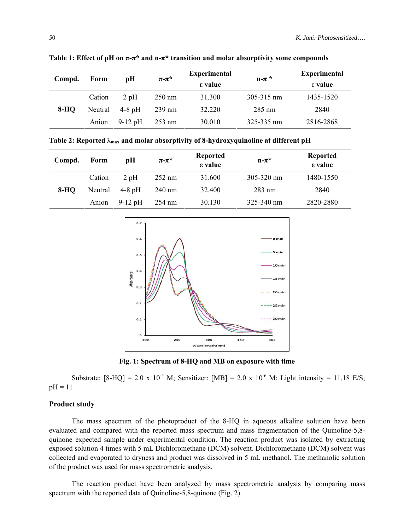| Compd. | Form    | рH        | $\pi$ - $\pi^*$  | <b>Experimental</b><br>ε value | $n-\pi$ *  | <b>Experimental</b><br>$\epsilon$ value |
|--------|---------|-----------|------------------|--------------------------------|------------|-----------------------------------------|
|        | Cation  | 2pH       | $250 \text{ nm}$ | 31.300                         | 305-315 nm | 1435-1520                               |
| $8-HO$ | Neutral | $4-8$ pH  | $239 \text{ nm}$ | 32.220                         | $285$ nm   | 2840                                    |
|        | Anion   | $9-12$ pH | $253 \text{ nm}$ | 30.010                         | 325-335 nm | 2816-2868                               |

**Table 1: Effect of pH on π-π\* and n-π\* transition and molar absorptivity some compounds**

**Table 2: Reported** λ**max and molar absorptivity of 8-hydroxyquinoline at different pH**

| Compd. | Form    | рH        | $\pi$ - $\pi^*$  | <b>Reported</b><br>ε value | $n-\pi^*$      | <b>Reported</b><br>ε value |
|--------|---------|-----------|------------------|----------------------------|----------------|----------------------------|
| 8-HO   | Cation  | 2pH       | $252 \text{ nm}$ | 31.600                     | $305 - 320$ nm | 1480-1550                  |
|        | Neutral | $4-8$ pH  | $240 \text{ nm}$ | 32.400                     | $283$ nm       | 2840                       |
|        | Anion   | $9-12$ pH | $254 \text{ nm}$ | 30.130                     | $325 - 340$ nm | 2820-2880                  |



**Fig. 1: Spectrum of 8-HQ and MB on exposure with time**

Substrate:  $[8-HO] = 2.0 \times 10^{-5}$  M; Sensitizer:  $[MB] = 2.0 \times 10^{-6}$  M; Light intensity = 11.18 E/S;  $pH = 11$ 

## **Product study**

The mass spectrum of the photoproduct of the 8-HQ in aqueous alkaline solution have been evaluated and compared with the reported mass spectrum and mass fragmentation of the Quinoline-5,8 quinone expected sample under experimental condition. The reaction product was isolated by extracting exposed solution 4 times with 5 mL Dichloromethane (DCM) solvent. Dichloromethane (DCM) solvent was collected and evaporated to dryness and product was dissolved in 5 mL methanol. The methanolic solution of the product was used for mass spectrometric analysis.

The reaction product have been analyzed by mass spectrometric analysis by comparing mass spectrum with the reported data of Quinoline-5,8-quinone (Fig. 2).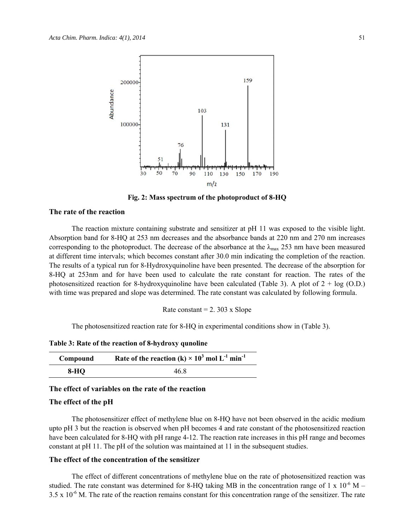

**Fig. 2: Mass spectrum of the photoproduct of 8-HQ** 

#### **The rate of the reaction**

The reaction mixture containing substrate and sensitizer at pH 11 was exposed to the visible light. Absorption band for 8-HQ at 253 nm decreases and the absorbance bands at 220 nm and 270 nm increases corresponding to the photoproduct. The decrease of the absorbance at the  $\lambda_{\text{max}}$  253 nm have been measured at different time intervals; which becomes constant after 30.0 min indicating the completion of the reaction. The results of a typical run for 8-Hydroxyquinoline have been presented. The decrease of the absorption for 8-HQ at 253nm and for have been used to calculate the rate constant for reaction. The rates of the photosensitized reaction for 8-hydroxyquinoline have been calculated (Table 3). A plot of  $2 + \log (O.D.)$ with time was prepared and slope was determined. The rate constant was calculated by following formula.

Rate constant  $= 2.303$  x Slope

The photosensitized reaction rate for 8-HQ in experimental conditions show in (Table 3).

**Table 3: Rate of the reaction of 8-hydroxy qunoline**

| Compound | Rate of the reaction (k) $\times$ 10 <sup>3</sup> mol L <sup>-1</sup> min <sup>-1</sup> |
|----------|-----------------------------------------------------------------------------------------|
| $8-HQ$   | 46.8                                                                                    |

## **The effect of variables on the rate of the reaction**

#### **The effect of the pH**

The photosensitizer effect of methylene blue on 8-HQ have not been observed in the acidic medium upto pH 3 but the reaction is observed when pH becomes 4 and rate constant of the photosensitized reaction have been calculated for 8-HQ with pH range 4-12. The reaction rate increases in this pH range and becomes constant at pH 11. The pH of the solution was maintained at 11 in the subsequent studies.

#### **The effect of the concentration of the sensitizer**

The effect of different concentrations of methylene blue on the rate of photosensitized reaction was studied. The rate constant was determined for 8-HQ taking MB in the concentration range of 1 x  $10^{-6}$  M –  $3.5 \times 10^{-6}$  M. The rate of the reaction remains constant for this concentration range of the sensitizer. The rate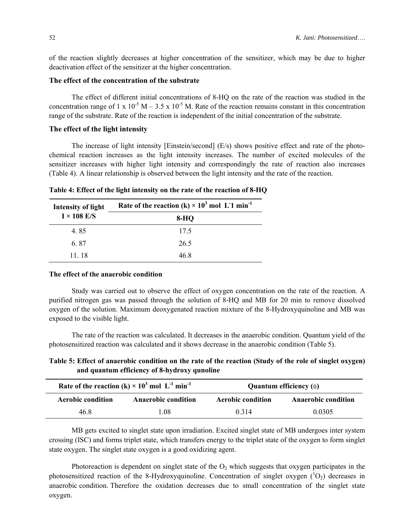of the reaction slightly decreases at higher concentration of the sensitizer, which may be due to higher deactivation effect of the sensitizer at the higher concentration.

## **The effect of the concentration of the substrate**

The effect of different initial concentrations of 8-HQ on the rate of the reaction was studied in the concentration range of 1 x 10<sup>-5</sup> M – 3.5 x 10<sup>-5</sup> M. Rate of the reaction remains constant in this concentration range of the substrate. Rate of the reaction is independent of the initial concentration of the substrate.

## **The effect of the light intensity**

The increase of light intensity [Einstein/second] (E/s) shows positive effect and rate of the photochemical reaction increases as the light intensity increases. The number of excited molecules of the sensitizer increases with higher light intensity and correspondingly the rate of reaction also increases (Table 4). A linear relationship is observed between the light intensity and the rate of the reaction.

| Intensity of light | Rate of the reaction (k) $\times$ 10 <sup>3</sup> mol L <sup>1</sup> min <sup>-1</sup> |  |  |  |
|--------------------|----------------------------------------------------------------------------------------|--|--|--|
| $I \times 108$ E/S | 8-HO                                                                                   |  |  |  |
| 4.85               | 17.5                                                                                   |  |  |  |
| 6.87               | 26.5                                                                                   |  |  |  |
| 11 18              | 46 8                                                                                   |  |  |  |

**Table 4: Effect of the light intensity on the rate of the reaction of 8-HQ**

#### **The effect of the anaerobic condition**

Study was carried out to observe the effect of oxygen concentration on the rate of the reaction. A purified nitrogen gas was passed through the solution of 8-HQ and MB for 20 min to remove dissolved oxygen of the solution. Maximum deoxygenated reaction mixture of the 8-Hydroxyquinoline and MB was exposed to the visible light.

The rate of the reaction was calculated. It decreases in the anaerobic condition. Quantum yield of the photosensitized reaction was calculated and it shows decrease in the anaerobic condition (Table 5).

**Table 5: Effect of anaerobic condition on the rate of the reaction (Study of the role of singlet oxygen) and quantum efficiency of 8-hydroxy qunoline**

|                          | Rate of the reaction (k) $\times$ 10 <sup>3</sup> mol L <sup>-1</sup> min <sup>-1</sup> | Quantum efficiency $(\Phi)$ |                            |  |  |
|--------------------------|-----------------------------------------------------------------------------------------|-----------------------------|----------------------------|--|--|
| <b>Aerobic condition</b> | <b>Anaerobic condition</b>                                                              | <b>Aerobic condition</b>    | <b>Anaerobic condition</b> |  |  |
| 46.8                     | -08                                                                                     | 0.314                       | 0.0305                     |  |  |

MB gets excited to singlet state upon irradiation. Excited singlet state of MB undergoes inter system crossing (ISC) and forms triplet state, which transfers energy to the triplet state of the oxygen to form singlet state oxygen. The singlet state oxygen is a good oxidizing agent.

Photoreaction is dependent on singlet state of the  $O_2$  which suggests that oxygen participates in the photosensitized reaction of the 8-Hydroxyquinoline. Concentration of singlet oxygen  $(^1O_2)$  decreases in anaerobic condition. Therefore the oxidation decreases due to small concentration of the singlet state oxygen.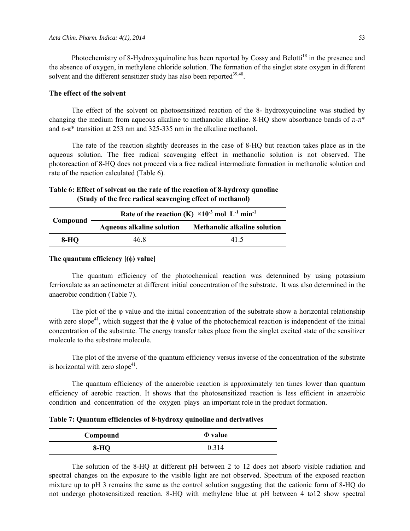Photochemistry of 8-Hydroxyquinoline has been reported by Cossy and Belotti<sup>18</sup> in the presence and the absence of oxygen, in methylene chloride solution. The formation of the singlet state oxygen in different solvent and the different sensitizer study has also been reported<sup>39,40</sup>.

#### **The effect of the solvent**

The effect of the solvent on photosensitized reaction of the 8- hydroxyquinoline was studied by changing the medium from aqueous alkaline to methanolic alkaline. 8-HQ show absorbance bands of  $\pi$ - $\pi$ <sup>\*</sup> and n- $\pi^*$  transition at 253 nm and 325-335 nm in the alkaline methanol.

The rate of the reaction slightly decreases in the case of 8-HQ but reaction takes place as in the aqueous solution. The free radical scavenging effect in methanolic solution is not observed. The photoreaction of 8-HQ does not proceed via a free radical intermediate formation in methanolic solution and rate of the reaction calculated (Table 6).

## **Table 6: Effect of solvent on the rate of the reaction of 8-hydroxy qunoline (Study of the free radical scavenging effect of methanol)**

| Compound | Rate of the reaction (K) $\times 10^{-3}$ mol L <sup>-1</sup> min <sup>-1</sup> |                                     |  |  |  |
|----------|---------------------------------------------------------------------------------|-------------------------------------|--|--|--|
|          | <b>Aqueous alkaline solution</b>                                                | <b>Methanolic alkaline solution</b> |  |  |  |
| 8-HO     | 46 8                                                                            | 41.5                                |  |  |  |

#### **The quantum efficiency [(**φ**) value]**

The quantum efficiency of the photochemical reaction was determined by using potassium ferrioxalate as an actinometer at different initial concentration of the substrate. It was also determined in the anaerobic condition (Table 7).

The plot of the  $\varphi$  value and the initial concentration of the substrate show a horizontal relationship with zero slope<sup>41</sup>, which suggest that the  $\phi$  value of the photochemical reaction is independent of the initial concentration of the substrate. The energy transfer takes place from the singlet excited state of the sensitizer molecule to the substrate molecule.

The plot of the inverse of the quantum efficiency versus inverse of the concentration of the substrate is horizontal with zero slope<sup>41</sup>.

The quantum efficiency of the anaerobic reaction is approximately ten times lower than quantum efficiency of aerobic reaction. It shows that the photosensitized reaction is less efficient in anaerobic condition and concentration of the oxygen plays an important role in the product formation.

|  | Table 7: Quantum efficiencies of 8-hydroxy quinoline and derivatives |  |  |  |  |
|--|----------------------------------------------------------------------|--|--|--|--|
|  |                                                                      |  |  |  |  |

| Compound | $\Phi$ value |  |  |
|----------|--------------|--|--|
| $8-HQ$   | 0.314        |  |  |

The solution of the 8-HQ at different pH between 2 to 12 does not absorb visible radiation and spectral changes on the exposure to the visible light are not observed. Spectrum of the exposed reaction mixture up to pH 3 remains the same as the control solution suggesting that the cationic form of 8-HQ do not undergo photosensitized reaction. 8-HQ with methylene blue at pH between 4 to12 show spectral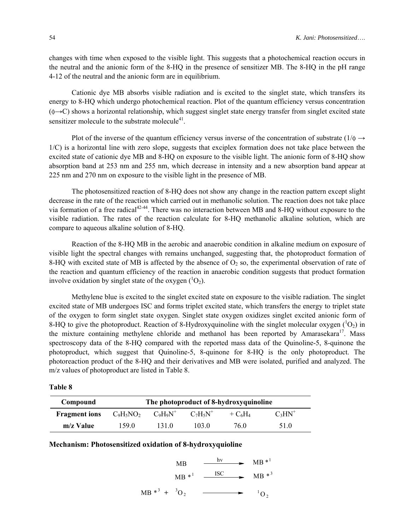changes with time when exposed to the visible light. This suggests that a photochemical reaction occurs in the neutral and the anionic form of the 8-HQ in the presence of sensitizer MB. The 8-HQ in the pH range 4-12 of the neutral and the anionic form are in equilibrium.

Cationic dye MB absorbs visible radiation and is excited to the singlet state, which transfers its energy to 8-HQ which undergo photochemical reaction. Plot of the quantum efficiency versus concentration  $(\phi \rightarrow C)$  shows a horizontal relationship, which suggest singlet state energy transfer from singlet excited state sensitizer molecule to the substrate molecule $4^1$ .

Plot of the inverse of the quantum efficiency versus inverse of the concentration of substrate ( $1/\phi \rightarrow$ 1/C) is a horizontal line with zero slope, suggests that exciplex formation does not take place between the excited state of cationic dye MB and 8-HQ on exposure to the visible light. The anionic form of 8-HQ show absorption band at 253 nm and 255 nm, which decrease in intensity and a new absorption band appear at 225 nm and 270 nm on exposure to the visible light in the presence of MB.

The photosensitized reaction of 8-HQ does not show any change in the reaction pattern except slight decrease in the rate of the reaction which carried out in methanolic solution. The reaction does not take place via formation of a free radical<sup>42-44</sup>. There was no interaction between MB and 8-HQ without exposure to the visible radiation. The rates of the reaction calculate for 8-HQ methanolic alkaline solution, which are compare to aqueous alkaline solution of 8-HQ.

Reaction of the 8-HQ MB in the aerobic and anaerobic condition in alkaline medium on exposure of visible light the spectral changes with remains unchanged, suggesting that, the photoproduct formation of 8-HQ with excited state of MB is affected by the absence of  $O_2$  so, the experimental observation of rate of the reaction and quantum efficiency of the reaction in anaerobic condition suggests that product formation involve oxidation by singlet state of the oxygen  $(^1O_2)$ .

Methylene blue is excited to the singlet excited state on exposure to the visible radiation. The singlet excited state of MB undergoes ISC and forms triplet excited state, which transfers the energy to triplet state of the oxygen to form singlet state oxygen. Singlet state oxygen oxidizes singlet excited anionic form of 8-HQ to give the photoproduct. Reaction of 8-Hydroxyquinoline with the singlet molecular oxygen  $(^1O_2)$  in the mixture containing methylene chloride and methanol has been reported by Amarasekara<sup>17</sup>. Mass spectroscopy data of the 8-HQ compared with the reported mass data of the Quinoline-5, 8-quinone the photoproduct, which suggest that Quinoline-5, 8-quinone for 8-HQ is the only photoproduct. The photoreaction product of the 8-HQ and their derivatives and MB were isolated, purified and analyzed. The m/z values of photoproduct are listed in Table 8.

| anıe |  |
|------|--|
|------|--|

| Compound             | The photoproduct of 8-hydroxyquinoline |             |             |            |           |  |
|----------------------|----------------------------------------|-------------|-------------|------------|-----------|--|
| <b>Fragment</b> ions | $C_9H_5NO_2$                           | $C_9H_9N^+$ | $C_7H_5N^+$ | $+ C_6H_4$ | $C_3HN^+$ |  |
| $m/z$ Value          | 159.0                                  | 1310        | 103.0       | 76.0       | 51.0      |  |

**Mechanism: Photosensitized oxidation of 8-hydroxyquioline** 

MB  
\n
$$
MB *1 \xrightarrow{hv} MB *1
$$
\n
$$
MB *1 \xrightarrow{ISC} MB *3
$$

$$
MB^*^3 + {}^3O_2 \longrightarrow {}^1O_2
$$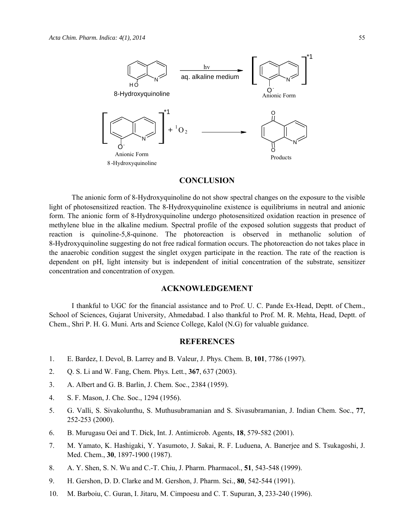

## **CONCLUSION**

The anionic form of 8-Hydroxyquinoline do not show spectral changes on the exposure to the visible light of photosensitized reaction. The 8-Hydroxyquinoline existence is equilibriums in neutral and anionic form. The anionic form of 8-Hydroxyquinoline undergo photosensitized oxidation reaction in presence of methylene blue in the alkaline medium. Spectral profile of the exposed solution suggests that product of reaction is quinoline-5,8-quinone. The photoreaction is observed in methanolic solution of 8-Hydroxyquinoline suggesting do not free radical formation occurs. The photoreaction do not takes place in the anaerobic condition suggest the singlet oxygen participate in the reaction. The rate of the reaction is dependent on pH, light intensity but is independent of initial concentration of the substrate, sensitizer concentration and concentration of oxygen.

#### **ACKNOWLEDGEMENT**

I thankful to UGC for the financial assistance and to Prof. U. C. Pande Ex-Head, Deptt. of Chem., School of Sciences, Gujarat University, Ahmedabad. I also thankful to Prof. M. R. Mehta, Head, Deptt. of Chem., Shri P. H. G. Muni. Arts and Science College, Kalol (N.G) for valuable guidance.

#### **REFERENCES**

- 1. E. Bardez, I. Devol, B. Larrey and B. Valeur, J. Phys. Chem. B, **101**, 7786 (1997).
- 2. Q. S. Li and W. Fang, Chem. Phys. Lett., **367**, 637 (2003).
- 3. A. Albert and G. B. Barlin, J. Chem. Soc., 2384 (1959).
- 4. S. F. Mason, J. Che. Soc., 1294 (1956).
- 5. G. Valli, S. Sivakolunthu, S. Muthusubramanian and S. Sivasubramanian, J. Indian Chem. Soc., **77**, 252-253 (2000).
- 6. B. Murugasu Oei and T. Dick, Int. J. Antimicrob. Agents, **18**, 579-582 (2001).
- 7. M. Yamato, K. Hashigaki, Y. Yasumoto, J. Sakai, R. F. Luduena, A. Banerjee and S. Tsukagoshi, J. Med. Chem., **30**, 1897-1900 (1987).
- 8. A. Y. Shen, S. N. Wu and C.-T. Chiu, J. Pharm. Pharmacol., **51**, 543-548 (1999).
- 9. H. Gershon, D. D. Clarke and M. Gershon, J. Pharm. Sci., **80**, 542-544 (1991).
- 10. M. Barboiu, C. Guran, I. Jitaru, M. Cimpoesu and C. T. Supuran, **3**, 233-240 (1996).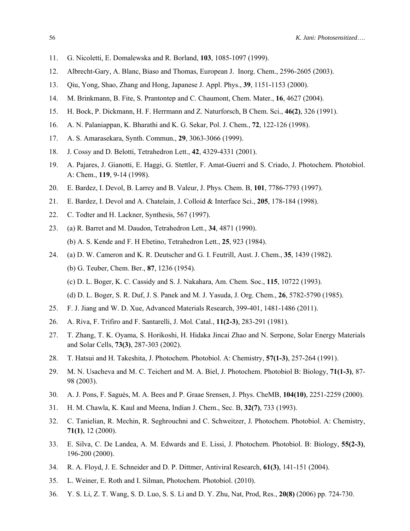- 11. G. Nicoletti, E. Domalewska and R. Borland, **103**, 1085-1097 (1999).
- 12. Albrecht-Gary, A. Blanc, Biaso and Thomas, European J. Inorg. Chem., 2596-2605 (2003).
- 13. Qiu, Yong, Shao, Zhang and Hong, Japanese J. Appl. Phys., **39**, 1151-1153 (2000).
- 14. M. Brinkmann, B. Fite, S. Prantontep and C. Chaumont, Chem. Mater*.*, **16**, 4627 (2004).
- 15. H. Bock, P. Dickmann, H. F. Herrmann and Z. Naturforsch, B Chem. Sci., **46(2)**, 326 (1991).
- 16. A. N. Palaniappan, K. Bharathi and K. G. Sekar, Pol. J. Chem*.*, **72**, 122-126 (1998).
- 17. A. S. Amarasekara, Synth. Commun*.*, **29**, 3063-3066 (1999).
- 18. J. Cossy and D. Belotti, Tetrahedron Lett., **42**, 4329-4331 (2001).
- 19. A. Pajares, J. Gianotti, E. Haggi, G. Stettler, F. Amat-Guerri and S. Criado, J. Photochem. Photobiol. A: Chem., **119**, 9-14 (1998).
- 20. E. Bardez, I. Devol, B. Larrey and B. Valeur, J. Phys. Chem. B, **101**, 7786-7793 (1997).
- 21. E. Bardez, I. Devol and A. Chatelain, J. Colloid & Interface Sci., **205**, 178-184 (1998).
- 22. C. Todter and H. Lackner, Synthesis, 567 (1997).
- 23. (a) R. Barret and M. Daudon, Tetrahedron Lett., **34**, 4871 (1990). (b) A. S. Kende and F. H Ebetino, Tetrahedron Lett., **25**, 923 (1984).
- 24. (a) D. W. Cameron and K. R. Deutscher and G. I. Feutrill, Aust. J. Chem., **35**, 1439 (1982). (b) G. Teuber, Chem. Ber., **87**, 1236 (1954).
	- (c) D. L. Boger, K. C. Cassidy and S. J. Nakahara, Am. Chem. Soc., **115**, 10722 (1993).
	- (d) D. L. Boger, S. R. Duf, J. S. Panek and M. J. Yasuda, J. Org. Chem., **26**, 5782-5790 (1985).
- 25. F. J. Jiang and W. D. Xue, Advanced Materials Research, 399-401, 1481-1486 (2011).
- 26. A. Riva, F. Trifiro and F. Santarelli, J. Mol. Catal., **11(2-3)**, 283-291 (1981).
- 27. T. Zhang, T. K. Oyama, S. Horikoshi, H. Hidaka Jincai Zhao and N. Serpone, Solar Energy Materials and Solar Cells, **73(3)**, 287-303 (2002).
- 28. T. Hatsui and H. Takeshita, J. Photochem. Photobiol. A: Chemistry, **57(1-3)**, 257-264 (1991).
- 29. M. N. Usacheva and M. C. Teichert and M. A. Biel, J. Photochem. Photobiol B: Biology, **71(1-3)**, 87- 98 (2003).
- 30. A. J. Pons, F. Sagués, M. A. Bees and P. Graae Srensen, J. Phys. CheMB, **104(10)**, 2251-2259 (2000).
- 31. H. M. Chawla, K. Kaul and Meena, Indian J. Chem., Sec. B, **32(7)**, 733 (1993).
- 32. C. Tanielian, R. Mechin, R. Seghrouchni and C. Schweitzer, J*.* Photochem. Photobiol. A: Chemistry, **71(1)**, 12 (2000).
- 33. E. Silva, C. De Landea, A. M. Edwards and E. Lissi, J. Photochem. Photobiol. B: Biology, **55(2-3)**, 196-200 (2000).
- 34. R. A. Floyd, J. E. Schneider and D. P. Dittmer, Antiviral Research, **61(3)**, 141-151 (2004).
- 35. L. Weiner, E. Roth and I. Silman, Photochem. Photobiol. (2010).
- 36. Y. S. Li, Z. T. Wang, S. D. Luo, S. S. Li and D. Y. Zhu, Nat, Prod, Res., **20(8)** (2006) pp. 724-730.